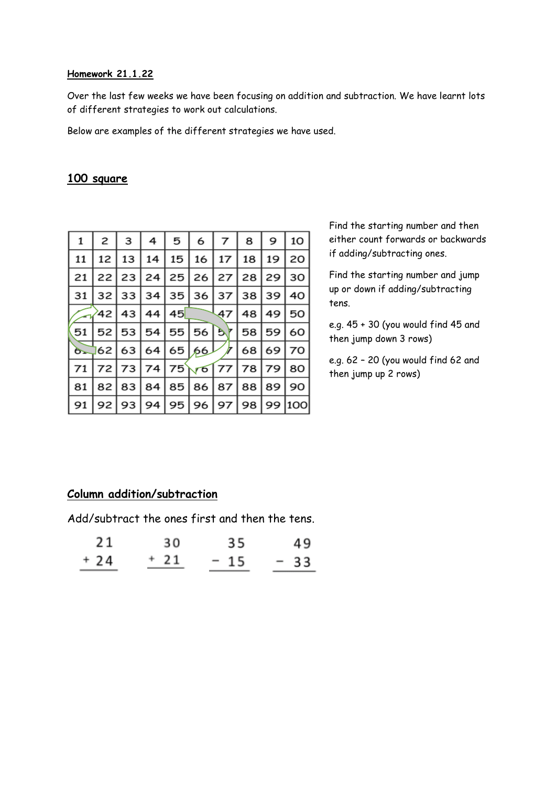#### **Homework 21.1.22**

Over the last few weeks we have been focusing on addition and subtraction. We have learnt lots of different strategies to work out calculations.

Below are examples of the different strategies we have used.

### **100 square**

| 1  | 2    | 3     | 4  | 5  | 6          | 7  | 8  | 9  | 10  |
|----|------|-------|----|----|------------|----|----|----|-----|
| 11 | 12   | 13    | 14 | 15 | 16         | 17 | 18 | 19 | 20  |
| 21 | 221  | 23    | 24 | 25 | 26         | 27 | 28 | 29 | 30  |
| 31 | 32 l | 33    | 34 | 35 | 36         | 37 | 38 | 39 | 40  |
|    | 42   | 43    | 44 | 45 |            | 47 | 48 | 49 | 50  |
| 51 | 52 l | 53    | 54 | 55 | 56 57      |    | 58 | 59 | 60  |
| 6. | 62   | 63    | 64 |    | 65/66      |    | 68 | 69 | 70  |
| 71 |      | 72 73 | 74 | 75 | $\sqrt{6}$ | 77 | 78 | 79 | 80  |
| 81 | 82   | 83    | 84 | 85 | 86         | 87 | 88 | 89 | 90  |
| 91 | 92   | 93    | 94 | 95 | 96         | 97 | 98 | 99 | 100 |

Find the starting number and then either count forwards or backwards if adding/subtracting ones.

Find the starting number and jump up or down if adding/subtracting tens.

e.g. 45 + 30 (you would find 45 and then jump down 3 rows)

e.g. 62 – 20 (you would find 62 and then jump up 2 rows)

### **Column addition/subtraction**

Add/subtract the ones first and then the tens.

| 21    | 30   | 35    | 49    |
|-------|------|-------|-------|
| $+24$ | + 21 | $-15$ | $-33$ |